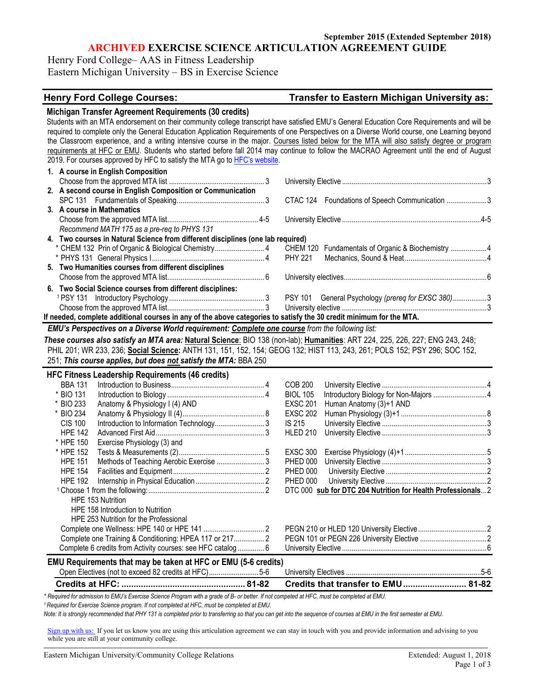**ARCHIVED EXERCISE SCIENCE ARTICULATION AGREEMENT GUIDE**

Henry Ford College– AAS in Fitness Leadership Eastern Michigan University – BS in Exercise Science

### **Henry Ford College Courses: Transfer to Eastern Michigan University as:**

| Michigan Transfer Agreement Requirements (30 credits)                                                                                       |                                                             |  |
|---------------------------------------------------------------------------------------------------------------------------------------------|-------------------------------------------------------------|--|
| Students with an MTA endorsement on their community college transcript have satisfied EMU's General Education Core Requirements and will be |                                                             |  |
| required to complete only the General Education Application Requirements of one Perspectives on a Diverse World course, one Learning beyond |                                                             |  |
| the Classroom experience, and a writing intensive course in the major. Courses listed below for the MTA will also satisfy degree or program |                                                             |  |
| requirements at HFC or EMU. Students who started before fall 2014 may continue to follow the MACRAO Agreement until the end of August       |                                                             |  |
| 2019. For courses approved by HFC to satisfy the MTA go to HFC's website.                                                                   |                                                             |  |
| 1. A course in English Composition                                                                                                          |                                                             |  |
|                                                                                                                                             |                                                             |  |
| 2. A second course in English Composition or Communication                                                                                  |                                                             |  |
|                                                                                                                                             | CTAC 124 Foundations of Speech Communication 3              |  |
| 3. A course in Mathematics                                                                                                                  |                                                             |  |
|                                                                                                                                             |                                                             |  |
| Recommend MATH 175 as a pre-req to PHYS 131                                                                                                 |                                                             |  |
| 4. Two courses in Natural Science from different disciplines (one lab required)                                                             |                                                             |  |
| * CHEM 132 Prin of Organic & Biological Chemistry 4                                                                                         | CHEM 120 Fundamentals of Organic & Biochemistry 4           |  |
|                                                                                                                                             | <b>PHY 221</b>                                              |  |
| 5. Two Humanities courses from different disciplines                                                                                        |                                                             |  |
|                                                                                                                                             |                                                             |  |
| 6. Two Social Science courses from different disciplines:                                                                                   |                                                             |  |
|                                                                                                                                             |                                                             |  |
|                                                                                                                                             |                                                             |  |
| If needed, complete additional courses in any of the above categories to satisfy the 30 credit minimum for the MTA.                         |                                                             |  |
| EMU's Perspectives on a Diverse World requirement: Complete one course from the following list:                                             |                                                             |  |
| These courses also satisfy an MTA area: Natural Science: BIO 138 (non-lab); Humanities: ART 224, 225, 226, 227; ENG 243, 248;               |                                                             |  |
| PHIL 201; WR 233, 236; Social Science: ANTH 131, 151, 152, 154; GEOG 132; HIST 113, 243, 261; POLS 152; PSY 296; SOC 152,                   |                                                             |  |
| 251; This course applies, but does not satisfy the MTA: BBA 250                                                                             |                                                             |  |
|                                                                                                                                             |                                                             |  |
| <b>HFC Fitness Leadership Requirements (46 credits)</b>                                                                                     |                                                             |  |
| <b>BBA 131</b>                                                                                                                              | <b>COB 200</b>                                              |  |
| * BIO 131                                                                                                                                   | <b>BIOL 105</b>                                             |  |
| * BIO 233<br>Anatomy & Physiology I (4) AND                                                                                                 | <b>EXSC 201</b><br>Human Anatomy (3)+1 AND                  |  |
| * BIO 234                                                                                                                                   | <b>EXSC 202</b>                                             |  |
| <b>CIS 100</b>                                                                                                                              | IS 215                                                      |  |
| <b>HPE 142</b><br>* HPE 150                                                                                                                 | <b>HLED 210</b>                                             |  |
| Exercise Physiology (3) and<br>* HPE 152                                                                                                    | <b>EXSC 300</b>                                             |  |
| Methods of Teaching Aerobic Exercise  3<br><b>HPE 151</b>                                                                                   | <b>PHED 000</b>                                             |  |
| <b>HPE 154</b>                                                                                                                              | <b>PHED 000</b>                                             |  |
| <b>HPE 192</b>                                                                                                                              | <b>PHED 000</b>                                             |  |
|                                                                                                                                             | DTC 000 sub for DTC 204 Nutrition for Health Professionals2 |  |
| HPE 153 Nutrition                                                                                                                           |                                                             |  |
| HPE 158 Introduction to Nutrition                                                                                                           |                                                             |  |
| HPE 253 Nutrition for the Professional                                                                                                      |                                                             |  |
|                                                                                                                                             |                                                             |  |
| Complete one Training & Conditioning: HPEA 117 or 217 2                                                                                     |                                                             |  |
| Complete 6 credits from Activity courses: see HFC catalog 6                                                                                 |                                                             |  |
|                                                                                                                                             |                                                             |  |
| EMU Requirements that may be taken at HFC or EMU (5-6 credits)                                                                              |                                                             |  |
|                                                                                                                                             |                                                             |  |
| Open Electives (not to exceed 82 credits at HFC)5-6                                                                                         |                                                             |  |
|                                                                                                                                             | Credits that transfer to EMU  81-82                         |  |

*1 Required for Exercise Science program. If not completed at HFC, must be completed at EMU.* 

*Note: It is strongly recommended that PHY 131 is completed prior to transferring so that you can get into the sequence of courses at EMU in the first semester at EMU.*

[Sign up with us:](https://www.emich.edu/ccr/articulation-agreements/signup.php) If you let us know you are using this articulation agreement we can stay in touch with you and provide information and advising to you while you are still at your community college.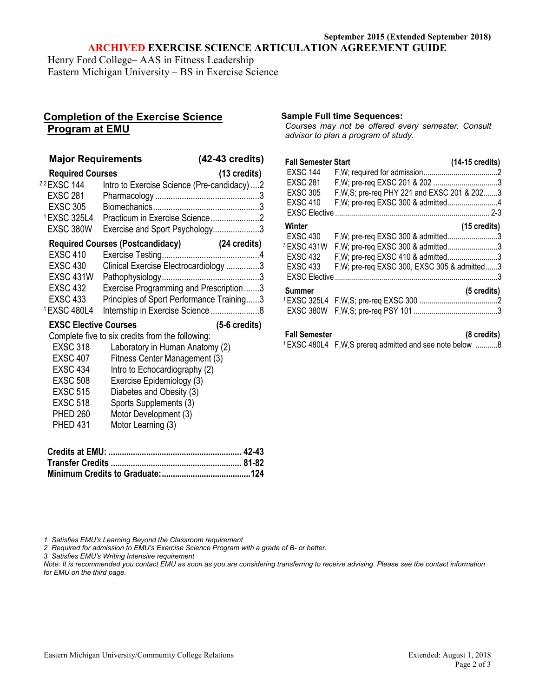#### **September 2015 (Extended September 2018) ARCHIVED EXERCISE SCIENCE ARTICULATION AGREEMENT GUIDE**

Henry Ford College– AAS in Fitness Leadership Eastern Michigan University – BS in Exercise Science

# **Completion of the Exercise Science Program at EMU**

| <b>Major Requirements</b>                                                                                                                            |                                                                                                                                                                                                                                                                                         | (42-43 credits)         |
|------------------------------------------------------------------------------------------------------------------------------------------------------|-----------------------------------------------------------------------------------------------------------------------------------------------------------------------------------------------------------------------------------------------------------------------------------------|-------------------------|
| <b>Required Courses</b>                                                                                                                              |                                                                                                                                                                                                                                                                                         | $(13 \text{ credits})$  |
| <sup>22</sup> EXSC 144<br><b>EXSC 281</b><br><b>EXSC 305</b><br><sup>1</sup> EXSC 325L4<br>EXSC 380W                                                 | Intro to Exercise Science (Pre-candidacy)2<br>Practicum in Exercise Science2<br>Exercise and Sport Psychology3                                                                                                                                                                          |                         |
|                                                                                                                                                      | <b>Required Courses (Postcandidacy)</b>                                                                                                                                                                                                                                                 | (24 credits)            |
| <b>EXSC 410</b>                                                                                                                                      |                                                                                                                                                                                                                                                                                         |                         |
| <b>EXSC 430</b><br><b>EXSC 431W</b><br><b>EXSC 432</b><br><b>EXSC 433</b><br><sup>1</sup> EXSC 480L4                                                 | Clinical Exercise Electrocardiology 3<br>Exercise Programming and Prescription3<br>Principles of Sport Performance Training3                                                                                                                                                            |                         |
| <b>EXSC Elective Courses</b>                                                                                                                         |                                                                                                                                                                                                                                                                                         | $(5-6 \text{ credits})$ |
| <b>EXSC 318</b><br><b>EXSC 407</b><br><b>EXSC 434</b><br><b>EXSC 508</b><br><b>EXSC 515</b><br><b>EXSC 518</b><br><b>PHED 260</b><br><b>PHED 431</b> | Complete five to six credits from the following:<br>Laboratory in Human Anatomy (2)<br>Fitness Center Management (3)<br>Intro to Echocardiography (2)<br>Exercise Epidemiology (3)<br>Diabetes and Obesity (3)<br>Sports Supplements (3)<br>Motor Development (3)<br>Motor Learning (3) |                         |
|                                                                                                                                                      |                                                                                                                                                                                                                                                                                         |                         |
|                                                                                                                                                      |                                                                                                                                                                                                                                                                                         |                         |
|                                                                                                                                                      |                                                                                                                                                                                                                                                                                         |                         |

**Sample Full time Sequences:**

*Courses may not be offered every semester. Consult advisor to plan a program of study.*

| <b>Fall Semester Start</b> |                                              | (14-15 credits)        |
|----------------------------|----------------------------------------------|------------------------|
| <b>EXSC 144</b>            |                                              |                        |
| <b>EXSC 281</b>            |                                              |                        |
| <b>EXSC 305</b>            | F, W, S; pre-req PHY 221 and EXSC 201 & 2023 |                        |
| <b>EXSC 410</b>            | F, W; pre-req EXSC 300 & admitted4           |                        |
| <b>EXSC Elective</b>       |                                              | $2 - 3$                |
| Winter                     |                                              | $(15 \text{ credits})$ |
| <b>EXSC 430</b>            | F, W; pre-req EXSC 300 & admitted3           |                        |
| 3 EXSC 431W                | F, W; pre-req EXSC 300 & admitted3           |                        |
| <b>EXSC 432</b>            | F, W; pre-req EXSC 410 & admitted3           |                        |
| <b>EXSC 433</b>            | F, W; pre-req EXSC 300, EXSC 305 & admitted3 |                        |
| <b>EXSC Elective</b>       |                                              |                        |
| Summer                     |                                              | $(5 \text{ credits})$  |
|                            |                                              |                        |
| EXSC 380W                  |                                              |                        |
|                            |                                              |                        |

**Fall Semester (8 credits)**

<sup>1</sup> EXSC 480L4 F,W,S prereq admitted and see note below ...........8

*1 Satisfies EMU's Learning Beyond the Classroom requirement*

*2 Required for admission to EMU's Exercise Science Program with a grade of B- or better.*

*3 Satisfies EMU's Writing Intensive requirement*

*Note: It is recommended you contact EMU as soon as you are considering transferring to receive advising. Please see the contact information for EMU on the third page.*